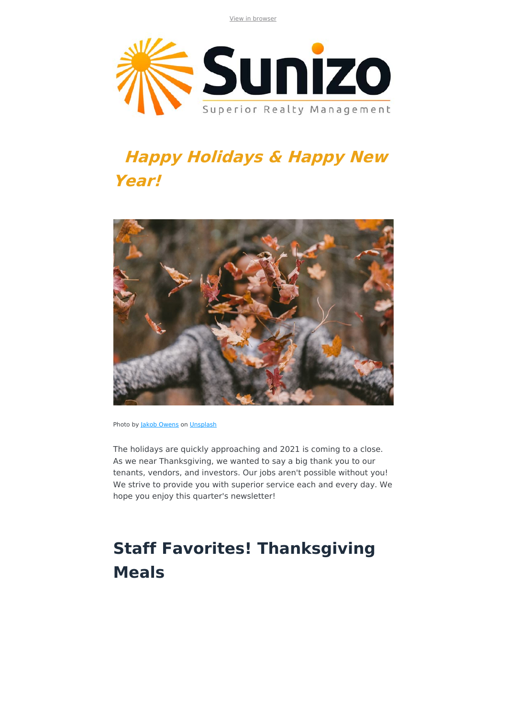View in browser



# **Happy Holidays & Happy New Year!**



Photo by Jakob Owens on [Unsplash](https://unsplash.com/)

The holidays are quickly approaching and 2021 is coming to a close. As we near Thanksgiving, we wanted to say a big thank you to our tenants, vendors, and investors. Our jobs aren't possible without you! We strive to provide you with superior service each and every day. We hope you enjoy this quarter's newsletter!

# **Staff Favorites! Thanksgiving Meals**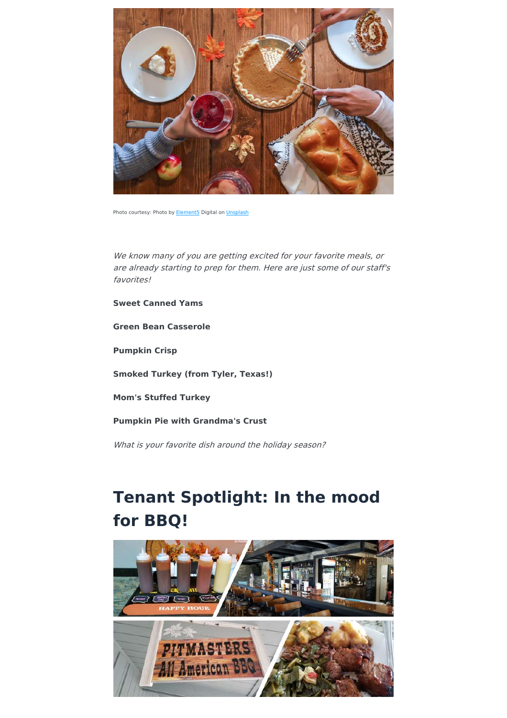

Photo courtesy: Photo by **Element5** Digital on *Unsplash* 

We know many of you are getting excited for your favorite meals, or are already starting to prep for them. Here are just some of our staff's favorites!

**Sweet Canned Yams**

**Green Bean Casserole**

**Pumpkin Crisp**

**Smoked Turkey (from Tyler, Texas!)** 

**Mom's Stuffed Turkey**

**Pumpkin Pie with Grandma's Crust** 

What is your favorite dish around the holiday season?

### **Tenant Spotlight: In the mood for BBQ!**

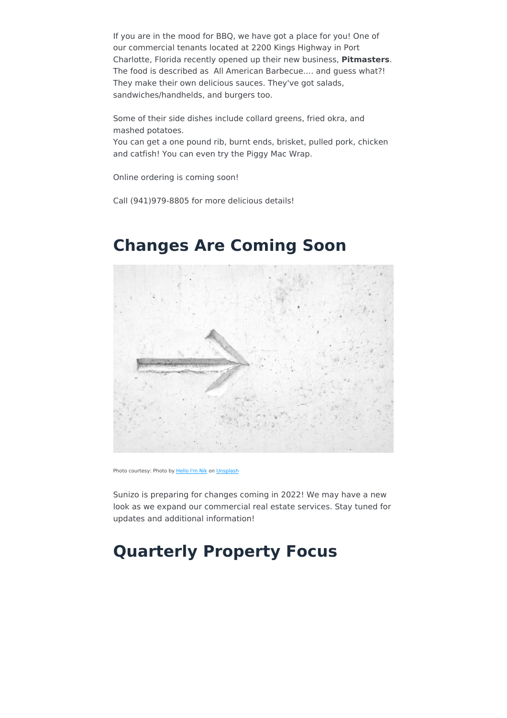If you are in the mood for BBQ, we have got a place for you! One of our commercial tenants located at 2200 Kings Highway in Port Charlotte, Florida recently opened up their new business, **Pitmasters**. The food is described as All American Barbecue.... and quess what?! They make their own delicious sauces. They've got salads, sandwiches/handhelds, and burgers too.

Some of their side dishes include collard greens, fried okra, and mashed potatoes.

You can get a one pound rib, burnt ends, brisket, pulled pork, chicken and catfish! You can even try the Piggy Mac Wrap.

Online ordering is coming soon!

Call (941)979-8805 for more delicious details!

Photo courtesy: Photo by Hello I'm Nik on [Unsplash](https://unsplash.com/)

Sunizo is preparing for changes coming in 2022! We may have a new look as we expand our commercial real estate services. Stay tuned for updates and additional information!

#### **Quarterly Property Focus**

#### **Changes Are Coming Soon**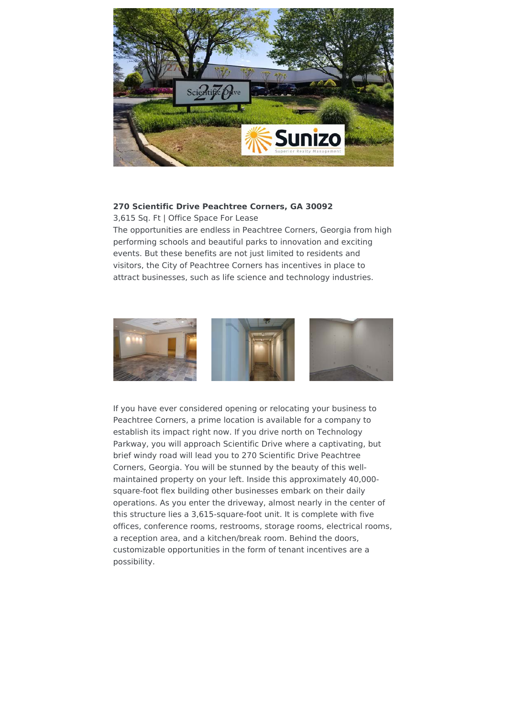

#### **270 Scientific Drive Peachtree Corners, GA 30092**

3,615 Sq. Ft | Office Space For Lease

The opportunities are endless in Peachtree Corners, Georgia from high performing schools and beautiful parks to innovation and exciting events. But these benefits are not just limited to residents and visitors, the City of Peachtree Corners has incentives in place to attract businesses, such as life science and technology industries.



If you have ever considered opening or relocating your business to Peachtree Corners, a prime location is available for a company to establish its impact right now. If you drive north on Technology Parkway, you will approach Scientific Drive where a captivating, but brief windy road will lead you to 270 Scientific Drive Peachtree Corners, Georgia. You will be stunned by the beauty of this wellmaintained property on your left. Inside this approximately 40,000square-foot flex building other businesses embark on their daily operations. As you enter the driveway, almost nearly in the center of this structure lies a 3,615-square-foot unit. It is complete with five offices, conference rooms, restrooms, storage rooms, electrical rooms, a reception area, and a kitchen/break room. Behind the doors, customizable opportunities in the form of tenant incentives are a possibility.